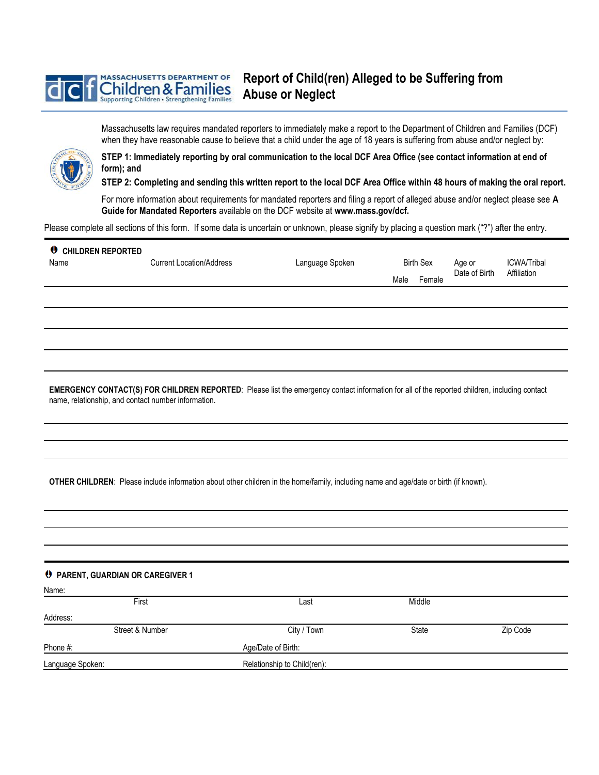## **Report of Child(ren) Alleged to be Suffering from MASSACHUSETTS DEPARTMENT OF** hildren & Families **Abuse or Neglect** Supporting Children • Strengthening Families

Massachusetts law requires mandated reporters to immediately make a report to the Department of Children and Families (DCF) when they have reasonable cause to believe that a child under the age of 18 years is suffering from abuse and/or neglect by:



**STEP 1: Immediately reporting by oral communication to the local DCF Area Office (see contact information at end of form); and** 

**STEP 2: Completing and sending this written report to the local DCF Area Office within 48 hours of making the oral report.** 

For more information about requirements for mandated reporters and filing a report of alleged abuse and/or neglect please see **A Guide for Mandated Reporters** available on the DCF website at **www.mass.gov/dcf.**

Please complete all sections of this form. If some data is uncertain or unknown, please signify by placing a question mark ("?") after the entry.

| <b>U</b> CHILDREN REPORTED<br>Name | <b>Current Location/Address</b> | Language Spoken | <b>Birth Sex</b> | Age or        | ICWA/Tribal |
|------------------------------------|---------------------------------|-----------------|------------------|---------------|-------------|
|                                    |                                 |                 | Male<br>Female   | Date of Birth | Affiliation |
|                                    |                                 |                 |                  |               |             |
|                                    |                                 |                 |                  |               |             |
|                                    |                                 |                 |                  |               |             |

**EMERGENCY CONTACT(S) FOR CHILDREN REPORTED**: Please list the emergency contact information for all of the reported children, including contact name, relationship, and contact number information.

**OTHER CHILDREN**: Please include information about other children in the home/family, including name and age/date or birth (if known).

| <b>0</b> PARENT, GUARDIAN OR CAREGIVER 1 |                    |                             |        |          |  |
|------------------------------------------|--------------------|-----------------------------|--------|----------|--|
| Name:                                    |                    |                             |        |          |  |
|                                          | First              | Last                        | Middle |          |  |
| Address:                                 |                    |                             |        |          |  |
|                                          | Street & Number    | City / Town                 | State  | Zip Code |  |
| Phone #:                                 | Age/Date of Birth: |                             |        |          |  |
| Language Spoken:                         |                    | Relationship to Child(ren): |        |          |  |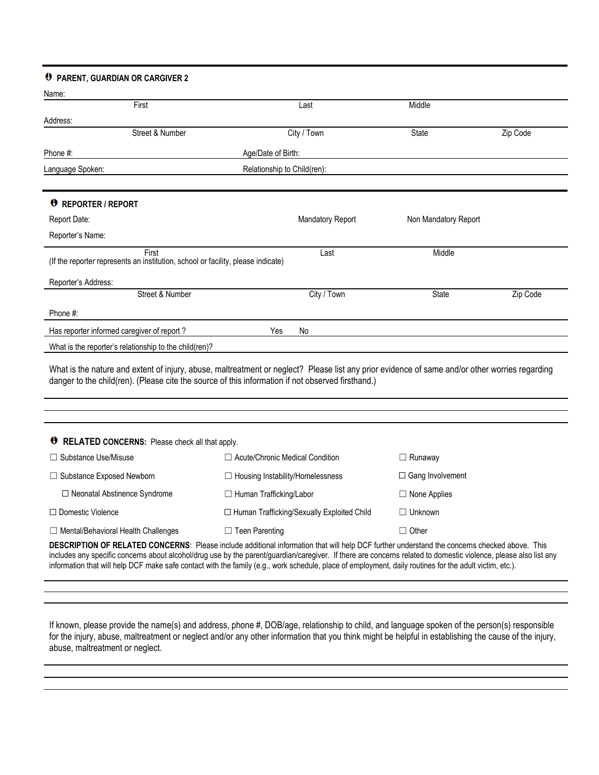## **PARENT, GUARDIAN OR CARGIVER 2**

| Name:                                                  |                                                                                           |      |                         |                      |          |
|--------------------------------------------------------|-------------------------------------------------------------------------------------------|------|-------------------------|----------------------|----------|
|                                                        | First                                                                                     | Last |                         | Middle               |          |
| Address:                                               |                                                                                           |      |                         |                      |          |
|                                                        | Street & Number                                                                           |      | City / Town             | State                | Zip Code |
| Phone #:                                               | Age/Date of Birth:                                                                        |      |                         |                      |          |
| Language Spoken:                                       | Relationship to Child(ren):                                                               |      |                         |                      |          |
|                                                        |                                                                                           |      |                         |                      |          |
| REPORTER / REPORT                                      |                                                                                           |      |                         |                      |          |
| Report Date:                                           |                                                                                           |      | <b>Mandatory Report</b> | Non Mandatory Report |          |
| Reporter's Name:                                       |                                                                                           |      |                         |                      |          |
|                                                        | First<br>(If the reporter represents an institution, school or facility, please indicate) |      | Last                    | Middle               |          |
| Reporter's Address:                                    |                                                                                           |      |                         |                      |          |
|                                                        | Street & Number                                                                           |      | City / Town             | State                | Zip Code |
| Phone #:                                               |                                                                                           |      |                         |                      |          |
| Has reporter informed caregiver of report?             |                                                                                           | Yes  | No                      |                      |          |
| What is the reporter's relationship to the child(ren)? |                                                                                           |      |                         |                      |          |

What is the nature and extent of injury, abuse, maltreatment or neglect? Please list any prior evidence of same and/or other worries regarding danger to the child(ren). (Please cite the source of this information if not observed firsthand.)

| <b>O</b> RELATED CONCERNS: Please check all that apply.                                                                                                |                                              |                         |  |  |  |
|--------------------------------------------------------------------------------------------------------------------------------------------------------|----------------------------------------------|-------------------------|--|--|--|
| $\Box$ Substance Use/Misuse                                                                                                                            | $\Box$ Acute/Chronic Medical Condition       | $\Box$ Runaway          |  |  |  |
| $\Box$ Substance Exposed Newborn                                                                                                                       | $\Box$ Housing Instability/Homelessness      | $\Box$ Gang Involvement |  |  |  |
| $\Box$ Neonatal Abstinence Syndrome                                                                                                                    | $\Box$ Human Trafficking/Labor               | $\Box$ None Applies     |  |  |  |
| $\Box$ Domestic Violence                                                                                                                               | □ Human Trafficking/Sexually Exploited Child | $\Box$ Unknown          |  |  |  |
| $\Box$ Mental/Behavioral Health Challenges                                                                                                             | $\Box$ Teen Parenting                        | $\Box$ Other            |  |  |  |
| <b>DECCRIPTION OF RELATED CONCERNS:</b> Please include additional information that will halp DCE further understand the concerns aboalized above. This |                                              |                         |  |  |  |

**DESCRIPTION OF RELATED CONCERNS**: Please include additional information that will help DCF further understand the concerns checked above. This includes any specific concerns about alcohol/drug use by the parent/guardian/caregiver. If there are concerns related to domestic violence, please also list any information that will help DCF make safe contact with the family (e.g., work schedule, place of employment, daily routines for the adult victim, etc.).

If known, please provide the name(s) and address, phone #, DOB/age, relationship to child, and language spoken of the person(s) responsible for the injury, abuse, maltreatment or neglect and/or any other information that you think might be helpful in establishing the cause of the injury, abuse, maltreatment or neglect.